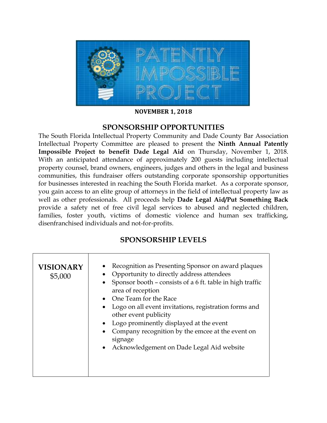

**NOVEMBER 1, 2018**

## **SPONSORSHIP OPPORTUNITIES**

The South Florida Intellectual Property Community and Dade County Bar Association Intellectual Property Committee are pleased to present the **Ninth Annual Patently Impossible Project to benefit Dade Legal Aid** on Thursday, November 1, 2018. With an anticipated attendance of approximately 200 guests including intellectual property counsel, brand owners, engineers, judges and others in the legal and business communities, this fundraiser offers outstanding corporate sponsorship opportunities for businesses interested in reaching the South Florida market. As a corporate sponsor, you gain access to an elite group of attorneys in the field of intellectual property law as well as other professionals. All proceeds help **Dade Legal Aid/Put Something Back** provide a safety net of free civil legal services to abused and neglected children, families, foster youth, victims of domestic violence and human sex trafficking, disenfranchised individuals and not-for-profits.

## **SPONSORSHIP LEVELS**

| <b>VISIONARY</b><br>\$5,000 | Recognition as Presenting Sponsor on award plaques<br>Opportunity to directly address attendees<br>Sponsor booth - consists of a 6 ft. table in high traffic<br>$\bullet$<br>area of reception<br>• One Team for the Race<br>Logo on all event invitations, registration forms and<br>other event publicity<br>Logo prominently displayed at the event |
|-----------------------------|--------------------------------------------------------------------------------------------------------------------------------------------------------------------------------------------------------------------------------------------------------------------------------------------------------------------------------------------------------|
|                             | Company recognition by the emcee at the event on<br>signage                                                                                                                                                                                                                                                                                            |
|                             | Acknowledgement on Dade Legal Aid website<br>$\bullet$                                                                                                                                                                                                                                                                                                 |